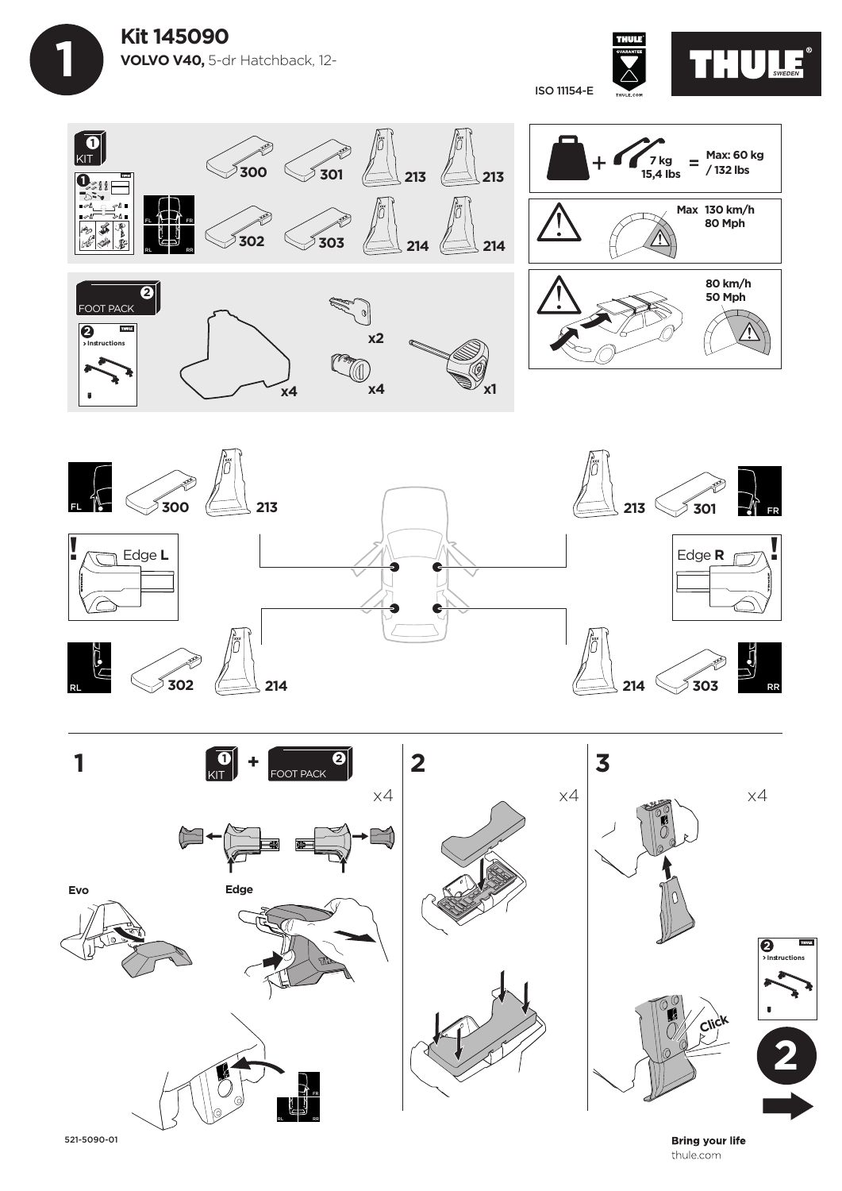









**Bring your life** thule.com

521-5090-01